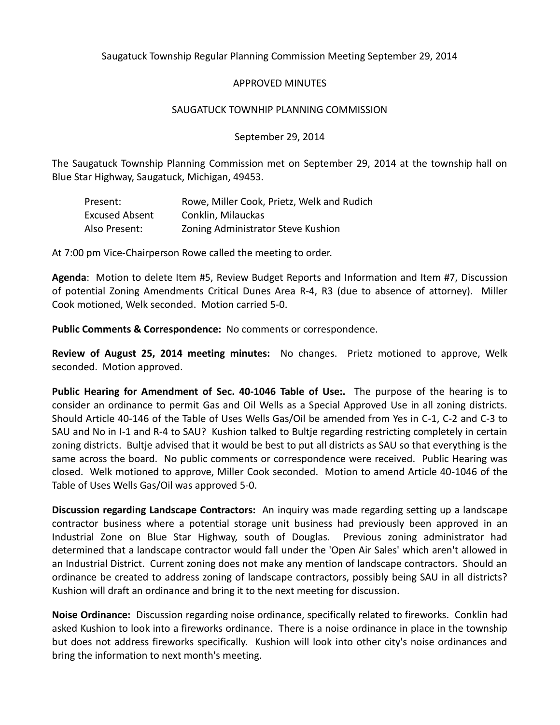Saugatuck Township Regular Planning Commission Meeting September 29, 2014

## APPROVED MINUTES

## SAUGATUCK TOWNHIP PLANNING COMMISSION

## September 29, 2014

The Saugatuck Township Planning Commission met on September 29, 2014 at the township hall on Blue Star Highway, Saugatuck, Michigan, 49453.

| Present:              | Rowe, Miller Cook, Prietz, Welk and Rudich |
|-----------------------|--------------------------------------------|
| <b>Excused Absent</b> | Conklin, Milauckas                         |
| Also Present:         | Zoning Administrator Steve Kushion         |

At 7:00 pm Vice-Chairperson Rowe called the meeting to order.

**Agenda**: Motion to delete Item #5, Review Budget Reports and Information and Item #7, Discussion of potential Zoning Amendments Critical Dunes Area R-4, R3 (due to absence of attorney). Miller Cook motioned, Welk seconded. Motion carried 5-0.

**Public Comments & Correspondence:** No comments or correspondence.

**Review of August 25, 2014 meeting minutes:** No changes. Prietz motioned to approve, Welk seconded. Motion approved.

**Public Hearing for Amendment of Sec. 40-1046 Table of Use:.** The purpose of the hearing is to consider an ordinance to permit Gas and Oil Wells as a Special Approved Use in all zoning districts. Should Article 40-146 of the Table of Uses Wells Gas/Oil be amended from Yes in C-1, C-2 and C-3 to SAU and No in I-1 and R-4 to SAU? Kushion talked to Bultje regarding restricting completely in certain zoning districts. Bultje advised that it would be best to put all districts as SAU so that everything is the same across the board. No public comments or correspondence were received. Public Hearing was closed. Welk motioned to approve, Miller Cook seconded. Motion to amend Article 40-1046 of the Table of Uses Wells Gas/Oil was approved 5-0.

**Discussion regarding Landscape Contractors:** An inquiry was made regarding setting up a landscape contractor business where a potential storage unit business had previously been approved in an Industrial Zone on Blue Star Highway, south of Douglas. Previous zoning administrator had determined that a landscape contractor would fall under the 'Open Air Sales' which aren't allowed in an Industrial District. Current zoning does not make any mention of landscape contractors. Should an ordinance be created to address zoning of landscape contractors, possibly being SAU in all districts? Kushion will draft an ordinance and bring it to the next meeting for discussion.

**Noise Ordinance:** Discussion regarding noise ordinance, specifically related to fireworks. Conklin had asked Kushion to look into a fireworks ordinance. There is a noise ordinance in place in the township but does not address fireworks specifically. Kushion will look into other city's noise ordinances and bring the information to next month's meeting.